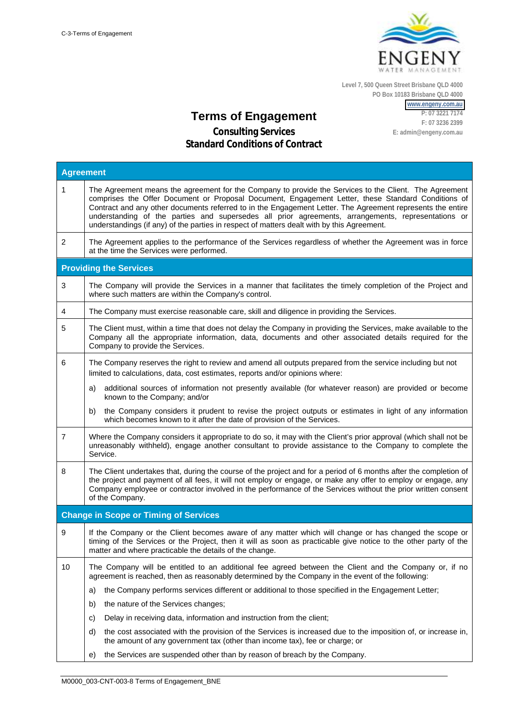

**Level 7, 500 Queen Street Brisbane QLD 4000 PO Box 10183 Brisbane QLD 4000**

> **[www.engeny.com.au](http://www.engeny.com.au/) P: 07 3221 7174 F: 07 3236 2399**

**E: admin@engeny.com.au**

**Terms of Engagement**

| <b>Agreement</b>              |                                                                                                                                                                                                                                                                                                                                                                                                                                                                                                                                |  |  |
|-------------------------------|--------------------------------------------------------------------------------------------------------------------------------------------------------------------------------------------------------------------------------------------------------------------------------------------------------------------------------------------------------------------------------------------------------------------------------------------------------------------------------------------------------------------------------|--|--|
| $\mathbf{1}$                  | The Agreement means the agreement for the Company to provide the Services to the Client. The Agreement<br>comprises the Offer Document or Proposal Document, Engagement Letter, these Standard Conditions of<br>Contract and any other documents referred to in the Engagement Letter. The Agreement represents the entire<br>understanding of the parties and supersedes all prior agreements, arrangements, representations or<br>understandings (if any) of the parties in respect of matters dealt with by this Agreement. |  |  |
| 2                             | The Agreement applies to the performance of the Services regardless of whether the Agreement was in force<br>at the time the Services were performed.                                                                                                                                                                                                                                                                                                                                                                          |  |  |
| <b>Providing the Services</b> |                                                                                                                                                                                                                                                                                                                                                                                                                                                                                                                                |  |  |
| 3                             | The Company will provide the Services in a manner that facilitates the timely completion of the Project and<br>where such matters are within the Company's control.                                                                                                                                                                                                                                                                                                                                                            |  |  |
| 4                             | The Company must exercise reasonable care, skill and diligence in providing the Services.                                                                                                                                                                                                                                                                                                                                                                                                                                      |  |  |
| 5                             | The Client must, within a time that does not delay the Company in providing the Services, make available to the<br>Company all the appropriate information, data, documents and other associated details required for the<br>Company to provide the Services.                                                                                                                                                                                                                                                                  |  |  |
| 6                             | The Company reserves the right to review and amend all outputs prepared from the service including but not<br>limited to calculations, data, cost estimates, reports and/or opinions where:                                                                                                                                                                                                                                                                                                                                    |  |  |
|                               | additional sources of information not presently available (for whatever reason) are provided or become<br>a)<br>known to the Company; and/or                                                                                                                                                                                                                                                                                                                                                                                   |  |  |
|                               | the Company considers it prudent to revise the project outputs or estimates in light of any information<br>b)<br>which becomes known to it after the date of provision of the Services.                                                                                                                                                                                                                                                                                                                                        |  |  |
| 7                             | Where the Company considers it appropriate to do so, it may with the Client's prior approval (which shall not be<br>unreasonably withheld), engage another consultant to provide assistance to the Company to complete the<br>Service.                                                                                                                                                                                                                                                                                         |  |  |
| 8                             | The Client undertakes that, during the course of the project and for a period of 6 months after the completion of<br>the project and payment of all fees, it will not employ or engage, or make any offer to employ or engage, any<br>Company employee or contractor involved in the performance of the Services without the prior written consent<br>of the Company.                                                                                                                                                          |  |  |
|                               | <b>Change in Scope or Timing of Services</b>                                                                                                                                                                                                                                                                                                                                                                                                                                                                                   |  |  |
| 9                             | If the Company or the Client becomes aware of any matter which will change or has changed the scope or<br>timing of the Services or the Project, then it will as soon as practicable give notice to the other party of the<br>matter and where practicable the details of the change.                                                                                                                                                                                                                                          |  |  |
| 10                            | The Company will be entitled to an additional fee agreed between the Client and the Company or, if no<br>agreement is reached, then as reasonably determined by the Company in the event of the following:                                                                                                                                                                                                                                                                                                                     |  |  |
|                               | the Company performs services different or additional to those specified in the Engagement Letter;<br>a)                                                                                                                                                                                                                                                                                                                                                                                                                       |  |  |
|                               | the nature of the Services changes;<br>b)                                                                                                                                                                                                                                                                                                                                                                                                                                                                                      |  |  |
|                               | Delay in receiving data, information and instruction from the client;<br>C)                                                                                                                                                                                                                                                                                                                                                                                                                                                    |  |  |
|                               | the cost associated with the provision of the Services is increased due to the imposition of, or increase in,<br>d)<br>the amount of any government tax (other than income tax), fee or charge; or                                                                                                                                                                                                                                                                                                                             |  |  |
|                               | the Services are suspended other than by reason of breach by the Company.<br>e)                                                                                                                                                                                                                                                                                                                                                                                                                                                |  |  |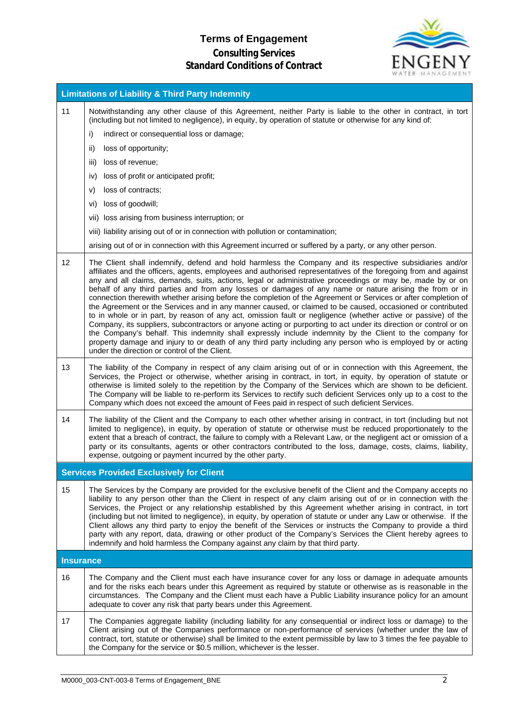# **Terms of Engagement**



| <b>Limitations of Liability &amp; Third Party Indemnity</b> |                                                                                                                                                                                                                                                                                                                                                                                                                                                                                                                                                                                                                                                                                                                                                                                                                                                                                                                                                                                                                                                                                                                                                                                                     |  |
|-------------------------------------------------------------|-----------------------------------------------------------------------------------------------------------------------------------------------------------------------------------------------------------------------------------------------------------------------------------------------------------------------------------------------------------------------------------------------------------------------------------------------------------------------------------------------------------------------------------------------------------------------------------------------------------------------------------------------------------------------------------------------------------------------------------------------------------------------------------------------------------------------------------------------------------------------------------------------------------------------------------------------------------------------------------------------------------------------------------------------------------------------------------------------------------------------------------------------------------------------------------------------------|--|
| 11                                                          | Notwithstanding any other clause of this Agreement, neither Party is liable to the other in contract, in tort<br>(including but not limited to negligence), in equity, by operation of statute or otherwise for any kind of:                                                                                                                                                                                                                                                                                                                                                                                                                                                                                                                                                                                                                                                                                                                                                                                                                                                                                                                                                                        |  |
|                                                             | indirect or consequential loss or damage;<br>i)                                                                                                                                                                                                                                                                                                                                                                                                                                                                                                                                                                                                                                                                                                                                                                                                                                                                                                                                                                                                                                                                                                                                                     |  |
|                                                             | ii)<br>loss of opportunity;                                                                                                                                                                                                                                                                                                                                                                                                                                                                                                                                                                                                                                                                                                                                                                                                                                                                                                                                                                                                                                                                                                                                                                         |  |
|                                                             | loss of revenue;<br>iii)                                                                                                                                                                                                                                                                                                                                                                                                                                                                                                                                                                                                                                                                                                                                                                                                                                                                                                                                                                                                                                                                                                                                                                            |  |
|                                                             | loss of profit or anticipated profit;<br>iv)                                                                                                                                                                                                                                                                                                                                                                                                                                                                                                                                                                                                                                                                                                                                                                                                                                                                                                                                                                                                                                                                                                                                                        |  |
|                                                             | loss of contracts;<br>V)                                                                                                                                                                                                                                                                                                                                                                                                                                                                                                                                                                                                                                                                                                                                                                                                                                                                                                                                                                                                                                                                                                                                                                            |  |
|                                                             | loss of goodwill;<br>vi)                                                                                                                                                                                                                                                                                                                                                                                                                                                                                                                                                                                                                                                                                                                                                                                                                                                                                                                                                                                                                                                                                                                                                                            |  |
|                                                             | vii) loss arising from business interruption; or                                                                                                                                                                                                                                                                                                                                                                                                                                                                                                                                                                                                                                                                                                                                                                                                                                                                                                                                                                                                                                                                                                                                                    |  |
|                                                             | viii) liability arising out of or in connection with pollution or contamination;                                                                                                                                                                                                                                                                                                                                                                                                                                                                                                                                                                                                                                                                                                                                                                                                                                                                                                                                                                                                                                                                                                                    |  |
|                                                             | arising out of or in connection with this Agreement incurred or suffered by a party, or any other person.                                                                                                                                                                                                                                                                                                                                                                                                                                                                                                                                                                                                                                                                                                                                                                                                                                                                                                                                                                                                                                                                                           |  |
| 12                                                          | The Client shall indemnify, defend and hold harmless the Company and its respective subsidiaries and/or<br>affiliates and the officers, agents, employees and authorised representatives of the foregoing from and against<br>any and all claims, demands, suits, actions, legal or administrative proceedings or may be, made by or on<br>behalf of any third parties and from any losses or damages of any name or nature arising the from or in<br>connection therewith whether arising before the completion of the Agreement or Services or after completion of<br>the Agreement or the Services and in any manner caused, or claimed to be caused, occasioned or contributed<br>to in whole or in part, by reason of any act, omission fault or negligence (whether active or passive) of the<br>Company, its suppliers, subcontractors or anyone acting or purporting to act under its direction or control or on<br>the Company's behalf. This indemnity shall expressly include indemnity by the Client to the company for<br>property damage and injury to or death of any third party including any person who is employed by or acting<br>under the direction or control of the Client. |  |
| 13                                                          | The liability of the Company in respect of any claim arising out of or in connection with this Agreement, the<br>Services, the Project or otherwise, whether arising in contract, in tort, in equity, by operation of statute or<br>otherwise is limited solely to the repetition by the Company of the Services which are shown to be deficient.<br>The Company will be liable to re-perform its Services to rectify such deficient Services only up to a cost to the<br>Company which does not exceed the amount of Fees paid in respect of such deficient Services.                                                                                                                                                                                                                                                                                                                                                                                                                                                                                                                                                                                                                              |  |
| 14                                                          | The liability of the Client and the Company to each other whether arising in contract, in tort (including but not<br>limited to negligence), in equity, by operation of statute or otherwise must be reduced proportionately to the<br>extent that a breach of contract, the failure to comply with a Relevant Law, or the negligent act or omission of a<br>party or its consultants, agents or other contractors contributed to the loss, damage, costs, claims, liability,<br>expense, outgoing or payment incurred by the other party.                                                                                                                                                                                                                                                                                                                                                                                                                                                                                                                                                                                                                                                          |  |
|                                                             | <b>Services Provided Exclusively for Client</b>                                                                                                                                                                                                                                                                                                                                                                                                                                                                                                                                                                                                                                                                                                                                                                                                                                                                                                                                                                                                                                                                                                                                                     |  |
| 15                                                          | The Services by the Company are provided for the exclusive benefit of the Client and the Company accepts no<br>liability to any person other than the Client in respect of any claim arising out of or in connection with the<br>Services, the Project or any relationship established by this Agreement whether arising in contract, in tort<br>(including but not limited to negligence), in equity, by operation of statute or under any Law or otherwise. If the<br>Client allows any third party to enjoy the benefit of the Services or instructs the Company to provide a third<br>party with any report, data, drawing or other product of the Company's Services the Client hereby agrees to<br>indemnify and hold harmless the Company against any claim by that third party.                                                                                                                                                                                                                                                                                                                                                                                                             |  |
| <b>Insurance</b>                                            |                                                                                                                                                                                                                                                                                                                                                                                                                                                                                                                                                                                                                                                                                                                                                                                                                                                                                                                                                                                                                                                                                                                                                                                                     |  |
| 16                                                          | The Company and the Client must each have insurance cover for any loss or damage in adequate amounts<br>and for the risks each bears under this Agreement as required by statute or otherwise as is reasonable in the<br>circumstances. The Company and the Client must each have a Public Liability insurance policy for an amount<br>adequate to cover any risk that party bears under this Agreement.                                                                                                                                                                                                                                                                                                                                                                                                                                                                                                                                                                                                                                                                                                                                                                                            |  |
| 17                                                          | The Companies aggregate liability (including liability for any consequential or indirect loss or damage) to the<br>Client arising out of the Companies performance or non-performance of services (whether under the law of<br>contract, tort, statute or otherwise) shall be limited to the extent permissible by law to 3 times the fee payable to<br>the Company for the service or \$0.5 million, whichever is the lesser.                                                                                                                                                                                                                                                                                                                                                                                                                                                                                                                                                                                                                                                                                                                                                                      |  |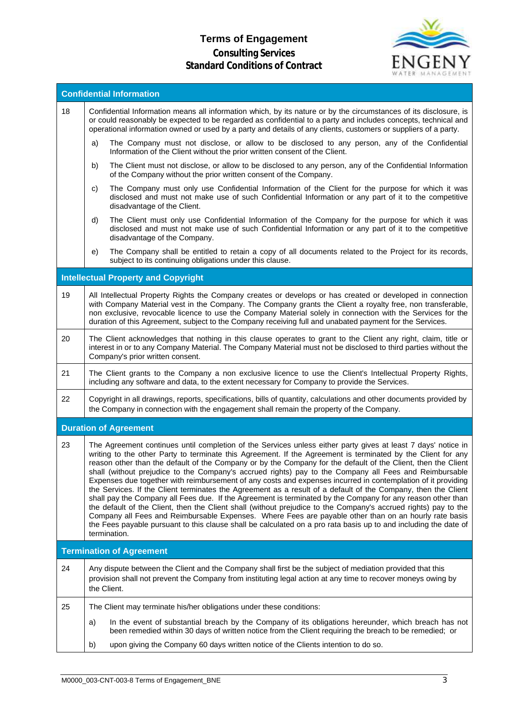# **Terms of Engagement**



| <b>Confidential Information</b> |                                                                                                                                                                                                                                                                                                                                                                                                                                                                                                                                                                                                                                                                                                                                                                                                                                                                                                                                                                                                                                                                                                                                                                          |  |  |
|---------------------------------|--------------------------------------------------------------------------------------------------------------------------------------------------------------------------------------------------------------------------------------------------------------------------------------------------------------------------------------------------------------------------------------------------------------------------------------------------------------------------------------------------------------------------------------------------------------------------------------------------------------------------------------------------------------------------------------------------------------------------------------------------------------------------------------------------------------------------------------------------------------------------------------------------------------------------------------------------------------------------------------------------------------------------------------------------------------------------------------------------------------------------------------------------------------------------|--|--|
| 18                              | Confidential Information means all information which, by its nature or by the circumstances of its disclosure, is<br>or could reasonably be expected to be regarded as confidential to a party and includes concepts, technical and<br>operational information owned or used by a party and details of any clients, customers or suppliers of a party.                                                                                                                                                                                                                                                                                                                                                                                                                                                                                                                                                                                                                                                                                                                                                                                                                   |  |  |
|                                 | The Company must not disclose, or allow to be disclosed to any person, any of the Confidential<br>a)<br>Information of the Client without the prior written consent of the Client.                                                                                                                                                                                                                                                                                                                                                                                                                                                                                                                                                                                                                                                                                                                                                                                                                                                                                                                                                                                       |  |  |
|                                 | The Client must not disclose, or allow to be disclosed to any person, any of the Confidential Information<br>b)<br>of the Company without the prior written consent of the Company.                                                                                                                                                                                                                                                                                                                                                                                                                                                                                                                                                                                                                                                                                                                                                                                                                                                                                                                                                                                      |  |  |
|                                 | The Company must only use Confidential Information of the Client for the purpose for which it was<br>C)<br>disclosed and must not make use of such Confidential Information or any part of it to the competitive<br>disadvantage of the Client.                                                                                                                                                                                                                                                                                                                                                                                                                                                                                                                                                                                                                                                                                                                                                                                                                                                                                                                          |  |  |
|                                 | The Client must only use Confidential Information of the Company for the purpose for which it was<br>d)<br>disclosed and must not make use of such Confidential Information or any part of it to the competitive<br>disadvantage of the Company.                                                                                                                                                                                                                                                                                                                                                                                                                                                                                                                                                                                                                                                                                                                                                                                                                                                                                                                         |  |  |
|                                 | The Company shall be entitled to retain a copy of all documents related to the Project for its records,<br>e)<br>subject to its continuing obligations under this clause.                                                                                                                                                                                                                                                                                                                                                                                                                                                                                                                                                                                                                                                                                                                                                                                                                                                                                                                                                                                                |  |  |
|                                 | <b>Intellectual Property and Copyright</b>                                                                                                                                                                                                                                                                                                                                                                                                                                                                                                                                                                                                                                                                                                                                                                                                                                                                                                                                                                                                                                                                                                                               |  |  |
| 19                              | All Intellectual Property Rights the Company creates or develops or has created or developed in connection<br>with Company Material vest in the Company. The Company grants the Client a royalty free, non transferable,<br>non exclusive, revocable licence to use the Company Material solely in connection with the Services for the<br>duration of this Agreement, subject to the Company receiving full and unabated payment for the Services.                                                                                                                                                                                                                                                                                                                                                                                                                                                                                                                                                                                                                                                                                                                      |  |  |
| 20                              | The Client acknowledges that nothing in this clause operates to grant to the Client any right, claim, title or<br>interest in or to any Company Material. The Company Material must not be disclosed to third parties without the<br>Company's prior written consent.                                                                                                                                                                                                                                                                                                                                                                                                                                                                                                                                                                                                                                                                                                                                                                                                                                                                                                    |  |  |
| 21                              | The Client grants to the Company a non exclusive licence to use the Client's Intellectual Property Rights,<br>including any software and data, to the extent necessary for Company to provide the Services.                                                                                                                                                                                                                                                                                                                                                                                                                                                                                                                                                                                                                                                                                                                                                                                                                                                                                                                                                              |  |  |
| 22                              | Copyright in all drawings, reports, specifications, bills of quantity, calculations and other documents provided by<br>the Company in connection with the engagement shall remain the property of the Company.                                                                                                                                                                                                                                                                                                                                                                                                                                                                                                                                                                                                                                                                                                                                                                                                                                                                                                                                                           |  |  |
|                                 | <b>Duration of Agreement</b>                                                                                                                                                                                                                                                                                                                                                                                                                                                                                                                                                                                                                                                                                                                                                                                                                                                                                                                                                                                                                                                                                                                                             |  |  |
| 23                              | The Agreement continues until completion of the Services unless either party gives at least 7 days' notice in<br>writing to the other Party to terminate this Agreement. If the Agreement is terminated by the Client for any<br>reason other than the default of the Company or by the Company for the default of the Client, then the Client<br>shall (without prejudice to the Company's accrued rights) pay to the Company all Fees and Reimbursable<br>Expenses due together with reimbursement of any costs and expenses incurred in contemplation of it providing<br>the Services. If the Client terminates the Agreement as a result of a default of the Company, then the Client<br>shall pay the Company all Fees due. If the Agreement is terminated by the Company for any reason other than<br>the default of the Client, then the Client shall (without prejudice to the Company's accrued rights) pay to the<br>Company all Fees and Reimbursable Expenses. Where Fees are payable other than on an hourly rate basis<br>the Fees payable pursuant to this clause shall be calculated on a pro rata basis up to and including the date of<br>termination. |  |  |
|                                 | <b>Termination of Agreement</b>                                                                                                                                                                                                                                                                                                                                                                                                                                                                                                                                                                                                                                                                                                                                                                                                                                                                                                                                                                                                                                                                                                                                          |  |  |
| 24                              | Any dispute between the Client and the Company shall first be the subject of mediation provided that this<br>provision shall not prevent the Company from instituting legal action at any time to recover moneys owing by<br>the Client.                                                                                                                                                                                                                                                                                                                                                                                                                                                                                                                                                                                                                                                                                                                                                                                                                                                                                                                                 |  |  |
| 25                              | The Client may terminate his/her obligations under these conditions:                                                                                                                                                                                                                                                                                                                                                                                                                                                                                                                                                                                                                                                                                                                                                                                                                                                                                                                                                                                                                                                                                                     |  |  |
|                                 | In the event of substantial breach by the Company of its obligations hereunder, which breach has not<br>a)<br>been remedied within 30 days of written notice from the Client requiring the breach to be remedied; or                                                                                                                                                                                                                                                                                                                                                                                                                                                                                                                                                                                                                                                                                                                                                                                                                                                                                                                                                     |  |  |
|                                 | upon giving the Company 60 days written notice of the Clients intention to do so.<br>b)                                                                                                                                                                                                                                                                                                                                                                                                                                                                                                                                                                                                                                                                                                                                                                                                                                                                                                                                                                                                                                                                                  |  |  |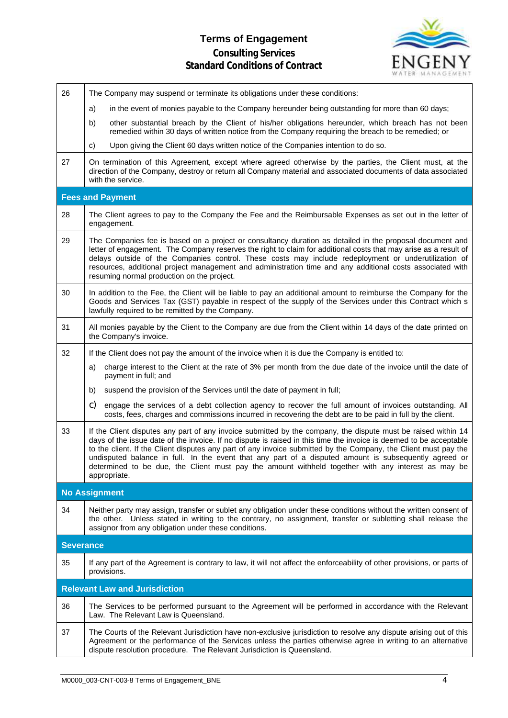# **Terms of Engagement**



| The Company may suspend or terminate its obligations under these conditions:                                                                                                                                                                                                                                                                                                                                                                                                                                                                                                          |  |  |  |  |
|---------------------------------------------------------------------------------------------------------------------------------------------------------------------------------------------------------------------------------------------------------------------------------------------------------------------------------------------------------------------------------------------------------------------------------------------------------------------------------------------------------------------------------------------------------------------------------------|--|--|--|--|
| in the event of monies payable to the Company hereunder being outstanding for more than 60 days;<br>a)                                                                                                                                                                                                                                                                                                                                                                                                                                                                                |  |  |  |  |
| b)<br>other substantial breach by the Client of his/her obligations hereunder, which breach has not been<br>remedied within 30 days of written notice from the Company requiring the breach to be remedied; or                                                                                                                                                                                                                                                                                                                                                                        |  |  |  |  |
| Upon giving the Client 60 days written notice of the Companies intention to do so.<br>C)                                                                                                                                                                                                                                                                                                                                                                                                                                                                                              |  |  |  |  |
| On termination of this Agreement, except where agreed otherwise by the parties, the Client must, at the<br>direction of the Company, destroy or return all Company material and associated documents of data associated<br>with the service.                                                                                                                                                                                                                                                                                                                                          |  |  |  |  |
| <b>Fees and Payment</b>                                                                                                                                                                                                                                                                                                                                                                                                                                                                                                                                                               |  |  |  |  |
| The Client agrees to pay to the Company the Fee and the Reimbursable Expenses as set out in the letter of<br>engagement.                                                                                                                                                                                                                                                                                                                                                                                                                                                              |  |  |  |  |
| The Companies fee is based on a project or consultancy duration as detailed in the proposal document and<br>letter of engagement. The Company reserves the right to claim for additional costs that may arise as a result of<br>delays outside of the Companies control. These costs may include redeployment or underutilization of<br>resources, additional project management and administration time and any additional costs associated with<br>resuming normal production on the project.                                                                                       |  |  |  |  |
| In addition to the Fee, the Client will be liable to pay an additional amount to reimburse the Company for the<br>Goods and Services Tax (GST) payable in respect of the supply of the Services under this Contract which s<br>lawfully required to be remitted by the Company.                                                                                                                                                                                                                                                                                                       |  |  |  |  |
| All monies payable by the Client to the Company are due from the Client within 14 days of the date printed on<br>the Company's invoice.                                                                                                                                                                                                                                                                                                                                                                                                                                               |  |  |  |  |
| If the Client does not pay the amount of the invoice when it is due the Company is entitled to:                                                                                                                                                                                                                                                                                                                                                                                                                                                                                       |  |  |  |  |
| charge interest to the Client at the rate of 3% per month from the due date of the invoice until the date of<br>a)<br>payment in full; and                                                                                                                                                                                                                                                                                                                                                                                                                                            |  |  |  |  |
| suspend the provision of the Services until the date of payment in full;<br>b)                                                                                                                                                                                                                                                                                                                                                                                                                                                                                                        |  |  |  |  |
| C)<br>engage the services of a debt collection agency to recover the full amount of invoices outstanding. All<br>costs, fees, charges and commissions incurred in recovering the debt are to be paid in full by the client.                                                                                                                                                                                                                                                                                                                                                           |  |  |  |  |
| If the Client disputes any part of any invoice submitted by the company, the dispute must be raised within 14<br>days of the issue date of the invoice. If no dispute is raised in this time the invoice is deemed to be acceptable<br>to the client. If the Client disputes any part of any invoice submitted by the Company, the Client must pay the<br>undisputed balance in full. In the event that any part of a disputed amount is subsequently agreed or<br>determined to be due, the Client must pay the amount withheld together with any interest as may be<br>appropriate. |  |  |  |  |
| <b>No Assignment</b>                                                                                                                                                                                                                                                                                                                                                                                                                                                                                                                                                                  |  |  |  |  |
| Neither party may assign, transfer or sublet any obligation under these conditions without the written consent of<br>the other. Unless stated in writing to the contrary, no assignment, transfer or subletting shall release the<br>assignor from any obligation under these conditions.                                                                                                                                                                                                                                                                                             |  |  |  |  |
| <b>Severance</b>                                                                                                                                                                                                                                                                                                                                                                                                                                                                                                                                                                      |  |  |  |  |
| If any part of the Agreement is contrary to law, it will not affect the enforceability of other provisions, or parts of<br>provisions.                                                                                                                                                                                                                                                                                                                                                                                                                                                |  |  |  |  |
| <b>Relevant Law and Jurisdiction</b>                                                                                                                                                                                                                                                                                                                                                                                                                                                                                                                                                  |  |  |  |  |
| The Services to be performed pursuant to the Agreement will be performed in accordance with the Relevant<br>Law. The Relevant Law is Queensland.                                                                                                                                                                                                                                                                                                                                                                                                                                      |  |  |  |  |
| The Courts of the Relevant Jurisdiction have non-exclusive jurisdiction to resolve any dispute arising out of this<br>Agreement or the performance of the Services unless the parties otherwise agree in writing to an alternative<br>dispute resolution procedure. The Relevant Jurisdiction is Queensland.                                                                                                                                                                                                                                                                          |  |  |  |  |
|                                                                                                                                                                                                                                                                                                                                                                                                                                                                                                                                                                                       |  |  |  |  |